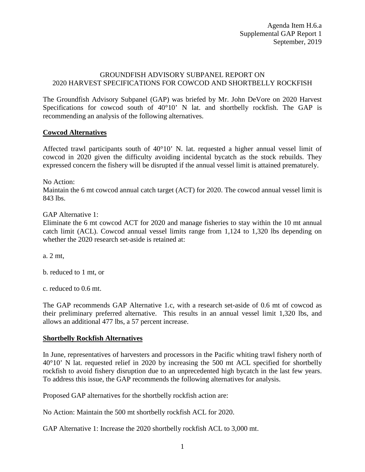## GROUNDFISH ADVISORY SUBPANEL REPORT ON 2020 HARVEST SPECIFICATIONS FOR COWCOD AND SHORTBELLY ROCKFISH

The Groundfish Advisory Subpanel (GAP) was briefed by Mr. John DeVore on 2020 Harvest Specifications for cowcod south of 40°10' N lat. and shortbelly rockfish. The GAP is recommending an analysis of the following alternatives.

## **Cowcod Alternatives**

Affected trawl participants south of  $40^{\circ}10'$  N. lat. requested a higher annual vessel limit of cowcod in 2020 given the difficulty avoiding incidental bycatch as the stock rebuilds. They expressed concern the fishery will be disrupted if the annual vessel limit is attained prematurely.

No Action:

Maintain the 6 mt cowcod annual catch target (ACT) for 2020. The cowcod annual vessel limit is 843 lbs.

## GAP Alternative 1:

Eliminate the 6 mt cowcod ACT for 2020 and manage fisheries to stay within the 10 mt annual catch limit (ACL). Cowcod annual vessel limits range from 1,124 to 1,320 lbs depending on whether the 2020 research set-aside is retained at:

a. 2 mt,

b. reduced to 1 mt, or

c. reduced to 0.6 mt.

The GAP recommends GAP Alternative 1.c, with a research set-aside of 0.6 mt of cowcod as their preliminary preferred alternative. This results in an annual vessel limit 1,320 lbs, and allows an additional 477 lbs, a 57 percent increase.

## **Shortbelly Rockfish Alternatives**

In June, representatives of harvesters and processors in the Pacific whiting trawl fishery north of 40°10' N lat. requested relief in 2020 by increasing the 500 mt ACL specified for shortbelly rockfish to avoid fishery disruption due to an unprecedented high bycatch in the last few years. To address this issue, the GAP recommends the following alternatives for analysis.

Proposed GAP alternatives for the shortbelly rockfish action are:

No Action: Maintain the 500 mt shortbelly rockfish ACL for 2020.

GAP Alternative 1: Increase the 2020 shortbelly rockfish ACL to 3,000 mt.